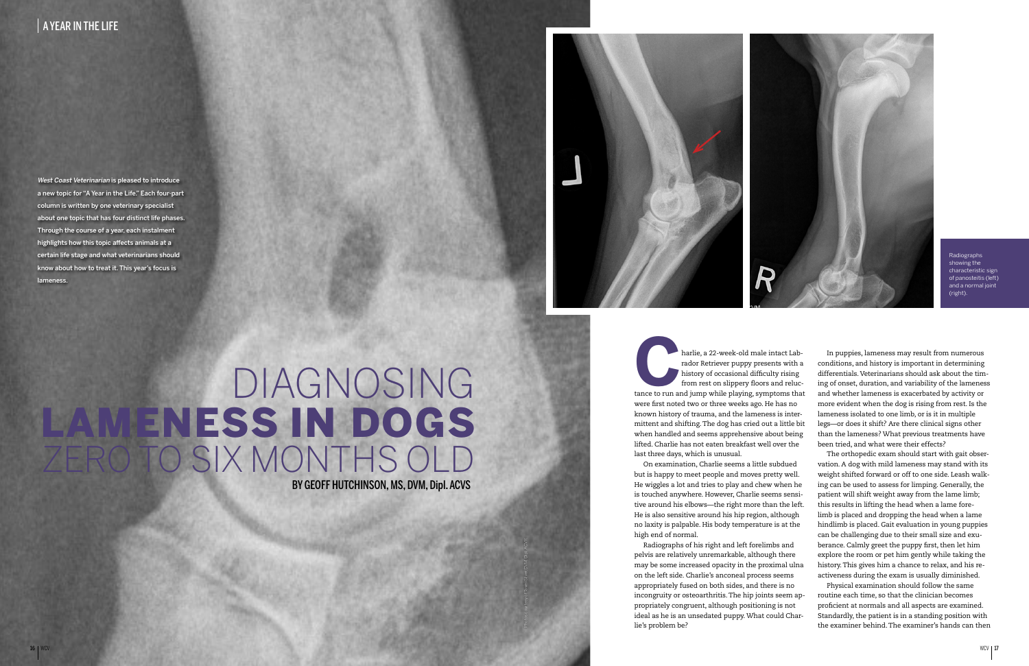Radiographs showing the characteristic sign of panosteitis (left) and a normal joint (right).

West Coast Veterinarian is pleased to introduce a new topic for "A Year in the Life." Each four-part column is written by one veterinary specialist about one topic that has four distinct life phases. Through the course of a year, each instalment highlights how this topic affects animals at a certain life stage and what veterinarians should know about how to treat it. This year's focus is lameness.

> **CALA FIRM THE REVIEW OF A FIRM THE PLAN THE PLAN THE PLAN THE PLAN THE PLAN THE PLAN THE PLAN THE PLAN THE PLAN THE PLAN THE PLAN THE PLAN THE PLAN THE PLAN THE PLAN THE PLAN THE PLAN THE PLAN THE PLAN THE PLAN THE PLAN T** rador Retriever puppy presents with a history of occasional difficulty rising from rest on slippery floors and relucwere first noted two or three weeks ago. He has no known history of trauma, and the lameness is intermittent and shifting. The dog has cried out a little bit when handled and seems apprehensive about being lifted. Charlie has not eaten breakfast well over the last three days, which is unusual.

> On examination, Charlie seems a little subdued but is happy to meet people and moves pretty well. He wiggles a lot and tries to play and chew when he is touched anywhere. However, Charlie seems sensitive around his elbows—the right more than the left. He is also sensitive around his hip region, although no laxity is palpable. His body temperature is at the high end of normal.

> Radiographs of his right and left forelimbs and pelvis are relatively unremarkable, although there may be some increased opacity in the proximal ulna on the left side. Charlie's anconeal process seems appropriately fused on both sides, and there is no incongruity or osteoarthritis. The hip joints seem appropriately congruent, although positioning is not ideal as he is an unsedated puppy. What could Charlie's problem be?



## BY GEOFF HUTCHINSON, MS, DVM, Dipl. ACVS DIAGNOSING LAMENESS IN DOGS **Q TO SIX MONTHS OL**



In puppies, lameness may result from numerous conditions, and history is important in determining differentials. Veterinarians should ask about the timing of onset, duration, and variability of the lameness and whether lameness is exacerbated by activity or more evident when the dog is rising from rest. Is the lameness isolated to one limb, or is it in multiple legs—or does it shift? Are there clinical signs other than the lameness? What previous treatments have been tried, and what were their effects?

The orthopedic exam should start with gait observation. A dog with mild lameness may stand with its weight shifted forward or off to one side. Leash walking can be used to assess for limping. Generally, the patient will shift weight away from the lame limb; this results in lifting the head when a lame forelimb is placed and dropping the head when a lame hindlimb is placed. Gait evaluation in young puppies can be challenging due to their small size and exuberance. Calmly greet the puppy first, then let him explore the room or pet him gently while taking the history. This gives him a chance to relax, and his reactiveness during the exam is usually diminished.

Physical examination should follow the same routine each time, so that the clinician becomes proficient at normals and all aspects are examined. Standardly, the patient is in a standing position with the examiner behind. The examiner's hands can then

Photos courtesy of Tawni Silver, DVM, Dipl. ACVR